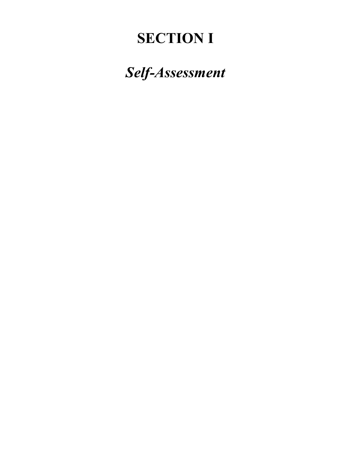# **SECTION I**

*Self-Assessment*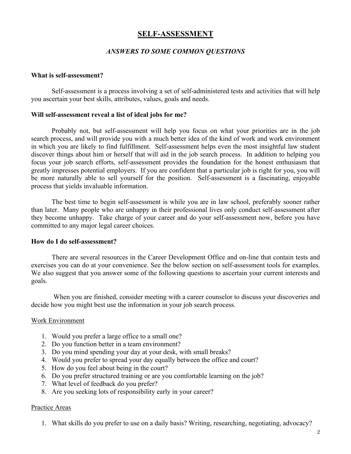# **SELF-ASSESSMENT**

### *ANSWERS TO SOME COMMON QUESTIONS*

#### **What is self-assessment?**

Self-assessment is a process involving a set of self-administered tests and activities that will help you ascertain your best skills, attributes, values, goals and needs.

#### **Will self-assessment reveal a list of ideal jobs for me?**

Probably not, but self-assessment will help you focus on what your priorities are in the job search process, and will provide you with a much better idea of the kind of work and work environment in which you are likely to find fulfillment. Self-assessment helps even the most insightful law student discover things about him or herself that will aid in the job search process. In addition to helping you focus your job search efforts, self-assessment provides the foundation for the honest enthusiasm that greatly impresses potential employers. If you are confident that a particular job is right for you, you will be more naturally able to sell yourself for the position. Self-assessment is a fascinating, enjoyable process that yields invaluable information.

The best time to begin self-assessment is while you are in law school, preferably sooner rather than later. Many people who are unhappy in their professional lives only conduct self-assessment after they become unhappy. Take charge of your career and do your self-assessment now, before you have committed to any major legal career choices.

#### **How do I do self-assessment?**

There are several resources in the Career Development Office and on-line that contain tests and exercises you can do at your convenience. See the below section on self-assessment tools for examples. We also suggest that you answer some of the following questions to ascertain your current interests and goals.

When you are finished, consider meeting with a career counselor to discuss your discoveries and decide how you might best use the information in your job search process.

#### Work Environment

- 1. Would you prefer a large office to a small one?
- 2. Do you function better in a team environment?
- 3. Do you mind spending your day at your desk, with small breaks?
- 4. Would you prefer to spread your day equally between the office and court?
- 5. How do you feel about being in the court?
- 6. Do you prefer structured training or are you comfortable learning on the job?
- 7. What level of feedback do you prefer?
- 8. Are you seeking lots of responsibility early in your career?

#### Practice Areas

1. What skills do you prefer to use on a daily basis? Writing, researching, negotiating, advocacy?